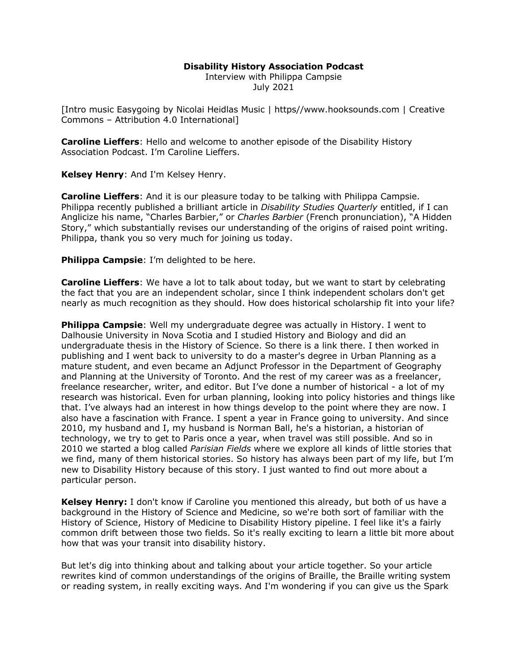# **Disability History Association Podcast**

Interview with Philippa Campsie July 2021

[Intro music Easygoing by Nicolai Heidlas Music | https//www.hooksounds.com | Creative Commons – Attribution 4.0 International]

**Caroline Lieffers**: Hello and welcome to another episode of the Disability History Association Podcast. I'm Caroline Lieffers.

**Kelsey Henry**: And I'm Kelsey Henry.

**Caroline Lieffers**: And it is our pleasure today to be talking with Philippa Campsie. Philippa recently published a brilliant article in *Disability Studies Quarterly* entitled, if I can Anglicize his name, "Charles Barbier," or *Charles Barbier* (French pronunciation), "A Hidden Story," which substantially revises our understanding of the origins of raised point writing. Philippa, thank you so very much for joining us today.

**Philippa Campsie**: I'm delighted to be here.

**Caroline Lieffers**: We have a lot to talk about today, but we want to start by celebrating the fact that you are an independent scholar, since I think independent scholars don't get nearly as much recognition as they should. How does historical scholarship fit into your life?

**Philippa Campsie**: Well my undergraduate degree was actually in History. I went to Dalhousie University in Nova Scotia and I studied History and Biology and did an undergraduate thesis in the History of Science. So there is a link there. I then worked in publishing and I went back to university to do a master's degree in Urban Planning as a mature student, and even became an Adjunct Professor in the Department of Geography and Planning at the University of Toronto. And the rest of my career was as a freelancer, freelance researcher, writer, and editor. But I've done a number of historical - a lot of my research was historical. Even for urban planning, looking into policy histories and things like that. I've always had an interest in how things develop to the point where they are now. I also have a fascination with France. I spent a year in France going to university. And since 2010, my husband and I, my husband is Norman Ball, he's a historian, a historian of technology, we try to get to Paris once a year, when travel was still possible. And so in 2010 we started a blog called *Parisian Fields* where we explore all kinds of little stories that we find, many of them historical stories. So history has always been part of my life, but I'm new to Disability History because of this story. I just wanted to find out more about a particular person.

**Kelsey Henry:** I don't know if Caroline you mentioned this already, but both of us have a background in the History of Science and Medicine, so we're both sort of familiar with the History of Science, History of Medicine to Disability History pipeline. I feel like it's a fairly common drift between those two fields. So it's really exciting to learn a little bit more about how that was your transit into disability history.

But let's dig into thinking about and talking about your article together. So your article rewrites kind of common understandings of the origins of Braille, the Braille writing system or reading system, in really exciting ways. And I'm wondering if you can give us the Spark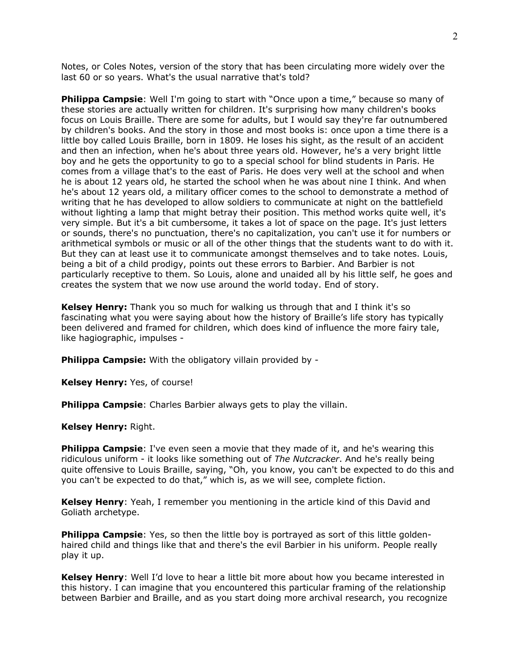Notes, or Coles Notes, version of the story that has been circulating more widely over the last 60 or so years. What's the usual narrative that's told?

**Philippa Campsie**: Well I'm going to start with "Once upon a time," because so many of these stories are actually written for children. It's surprising how many children's books focus on Louis Braille. There are some for adults, but I would say they're far outnumbered by children's books. And the story in those and most books is: once upon a time there is a little boy called Louis Braille, born in 1809. He loses his sight, as the result of an accident and then an infection, when he's about three years old. However, he's a very bright little boy and he gets the opportunity to go to a special school for blind students in Paris. He comes from a village that's to the east of Paris. He does very well at the school and when he is about 12 years old, he started the school when he was about nine I think. And when he's about 12 years old, a military officer comes to the school to demonstrate a method of writing that he has developed to allow soldiers to communicate at night on the battlefield without lighting a lamp that might betray their position. This method works quite well, it's very simple. But it's a bit cumbersome, it takes a lot of space on the page. It's just letters or sounds, there's no punctuation, there's no capitalization, you can't use it for numbers or arithmetical symbols or music or all of the other things that the students want to do with it. But they can at least use it to communicate amongst themselves and to take notes. Louis, being a bit of a child prodigy, points out these errors to Barbier. And Barbier is not particularly receptive to them. So Louis, alone and unaided all by his little self, he goes and creates the system that we now use around the world today. End of story.

**Kelsey Henry:** Thank you so much for walking us through that and I think it's so fascinating what you were saying about how the history of Braille's life story has typically been delivered and framed for children, which does kind of influence the more fairy tale, like hagiographic, impulses -

**Philippa Campsie:** With the obligatory villain provided by -

**Kelsey Henry:** Yes, of course!

**Philippa Campsie:** Charles Barbier always gets to play the villain.

**Kelsey Henry:** Right.

**Philippa Campsie**: I've even seen a movie that they made of it, and he's wearing this ridiculous uniform - it looks like something out of *The Nutcracker*. And he's really being quite offensive to Louis Braille, saying, "Oh, you know, you can't be expected to do this and you can't be expected to do that," which is, as we will see, complete fiction.

**Kelsey Henry**: Yeah, I remember you mentioning in the article kind of this David and Goliath archetype.

**Philippa Campsie**: Yes, so then the little boy is portrayed as sort of this little goldenhaired child and things like that and there's the evil Barbier in his uniform. People really play it up.

**Kelsey Henry**: Well I'd love to hear a little bit more about how you became interested in this history. I can imagine that you encountered this particular framing of the relationship between Barbier and Braille, and as you start doing more archival research, you recognize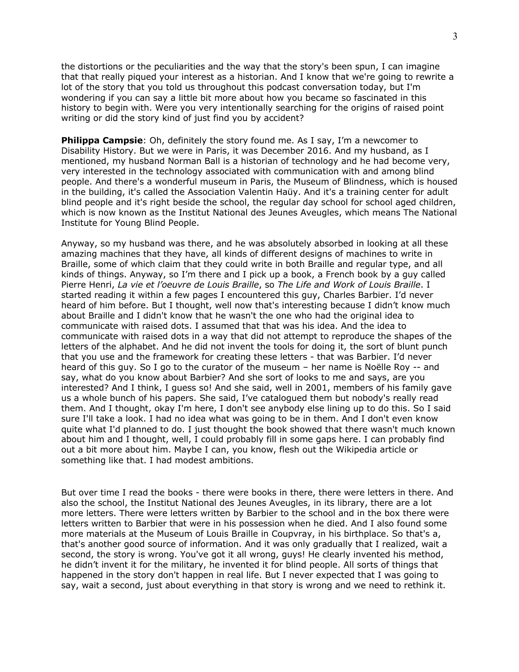the distortions or the peculiarities and the way that the story's been spun, I can imagine that that really piqued your interest as a historian. And I know that we're going to rewrite a lot of the story that you told us throughout this podcast conversation today, but I'm wondering if you can say a little bit more about how you became so fascinated in this history to begin with. Were you very intentionally searching for the origins of raised point writing or did the story kind of just find you by accident?

**Philippa Campsie**: Oh, definitely the story found me. As I say, I'm a newcomer to Disability History. But we were in Paris, it was December 2016. And my husband, as I mentioned, my husband Norman Ball is a historian of technology and he had become very, very interested in the technology associated with communication with and among blind people. And there's a wonderful museum in Paris, the Museum of Blindness, which is housed in the building, it's called the Association Valentin Haüy. And it's a training center for adult blind people and it's right beside the school, the regular day school for school aged children, which is now known as the Institut National des Jeunes Aveugles, which means The National Institute for Young Blind People.

Anyway, so my husband was there, and he was absolutely absorbed in looking at all these amazing machines that they have, all kinds of different designs of machines to write in Braille, some of which claim that they could write in both Braille and regular type, and all kinds of things. Anyway, so I'm there and I pick up a book, a French book by a guy called Pierre Henri, *La vie et l'oeuvre de Louis Braille*, so *The Life and Work of Louis Braille*. I started reading it within a few pages I encountered this guy, Charles Barbier. I'd never heard of him before. But I thought, well now that's interesting because I didn't know much about Braille and I didn't know that he wasn't the one who had the original idea to communicate with raised dots. I assumed that that was his idea. And the idea to communicate with raised dots in a way that did not attempt to reproduce the shapes of the letters of the alphabet. And he did not invent the tools for doing it, the sort of blunt punch that you use and the framework for creating these letters - that was Barbier. I'd never heard of this guy. So I go to the curator of the museum – her name is Noëlle Roy -- and say, what do you know about Barbier? And she sort of looks to me and says, are you interested? And I think, I guess so! And she said, well in 2001, members of his family gave us a whole bunch of his papers. She said, I've catalogued them but nobody's really read them. And I thought, okay I'm here, I don't see anybody else lining up to do this. So I said sure I'll take a look. I had no idea what was going to be in them. And I don't even know quite what I'd planned to do. I just thought the book showed that there wasn't much known about him and I thought, well, I could probably fill in some gaps here. I can probably find out a bit more about him. Maybe I can, you know, flesh out the Wikipedia article or something like that. I had modest ambitions.

But over time I read the books - there were books in there, there were letters in there. And also the school, the Institut National des Jeunes Aveugles, in its library, there are a lot more letters. There were letters written by Barbier to the school and in the box there were letters written to Barbier that were in his possession when he died. And I also found some more materials at the Museum of Louis Braille in Coupvray, in his birthplace. So that's a, that's another good source of information. And it was only gradually that I realized, wait a second, the story is wrong. You've got it all wrong, guys! He clearly invented his method, he didn't invent it for the military, he invented it for blind people. All sorts of things that happened in the story don't happen in real life. But I never expected that I was going to say, wait a second, just about everything in that story is wrong and we need to rethink it.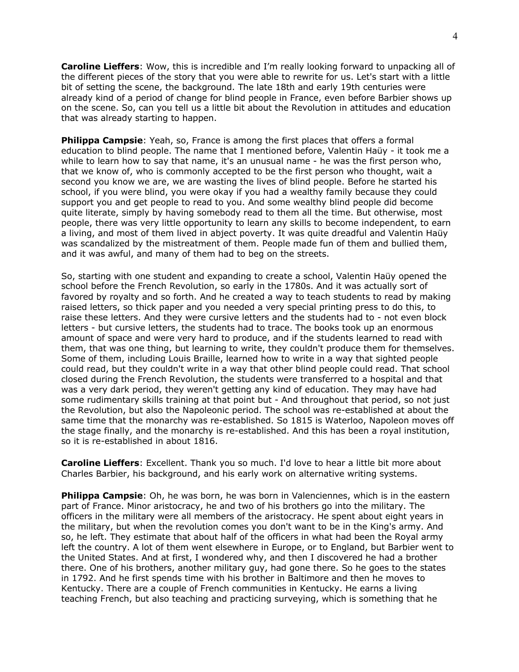**Caroline Lieffers**: Wow, this is incredible and I'm really looking forward to unpacking all of the different pieces of the story that you were able to rewrite for us. Let's start with a little bit of setting the scene, the background. The late 18th and early 19th centuries were already kind of a period of change for blind people in France, even before Barbier shows up on the scene. So, can you tell us a little bit about the Revolution in attitudes and education that was already starting to happen.

**Philippa Campsie**: Yeah, so, France is among the first places that offers a formal education to blind people. The name that I mentioned before, Valentin Haüy - it took me a while to learn how to say that name, it's an unusual name - he was the first person who, that we know of, who is commonly accepted to be the first person who thought, wait a second you know we are, we are wasting the lives of blind people. Before he started his school, if you were blind, you were okay if you had a wealthy family because they could support you and get people to read to you. And some wealthy blind people did become quite literate, simply by having somebody read to them all the time. But otherwise, most people, there was very little opportunity to learn any skills to become independent, to earn a living, and most of them lived in abject poverty. It was quite dreadful and Valentin Haüy was scandalized by the mistreatment of them. People made fun of them and bullied them, and it was awful, and many of them had to beg on the streets.

So, starting with one student and expanding to create a school, Valentin Haüy opened the school before the French Revolution, so early in the 1780s. And it was actually sort of favored by royalty and so forth. And he created a way to teach students to read by making raised letters, so thick paper and you needed a very special printing press to do this, to raise these letters. And they were cursive letters and the students had to - not even block letters - but cursive letters, the students had to trace. The books took up an enormous amount of space and were very hard to produce, and if the students learned to read with them, that was one thing, but learning to write, they couldn't produce them for themselves. Some of them, including Louis Braille, learned how to write in a way that sighted people could read, but they couldn't write in a way that other blind people could read. That school closed during the French Revolution, the students were transferred to a hospital and that was a very dark period, they weren't getting any kind of education. They may have had some rudimentary skills training at that point but - And throughout that period, so not just the Revolution, but also the Napoleonic period. The school was re-established at about the same time that the monarchy was re-established. So 1815 is Waterloo, Napoleon moves off the stage finally, and the monarchy is re-established. And this has been a royal institution, so it is re-established in about 1816.

**Caroline Lieffers**: Excellent. Thank you so much. I'd love to hear a little bit more about Charles Barbier, his background, and his early work on alternative writing systems.

**Philippa Campsie**: Oh, he was born, he was born in Valenciennes, which is in the eastern part of France. Minor aristocracy, he and two of his brothers go into the military. The officers in the military were all members of the aristocracy. He spent about eight years in the military, but when the revolution comes you don't want to be in the King's army. And so, he left. They estimate that about half of the officers in what had been the Royal army left the country. A lot of them went elsewhere in Europe, or to England, but Barbier went to the United States. And at first, I wondered why, and then I discovered he had a brother there. One of his brothers, another military guy, had gone there. So he goes to the states in 1792. And he first spends time with his brother in Baltimore and then he moves to Kentucky. There are a couple of French communities in Kentucky. He earns a living teaching French, but also teaching and practicing surveying, which is something that he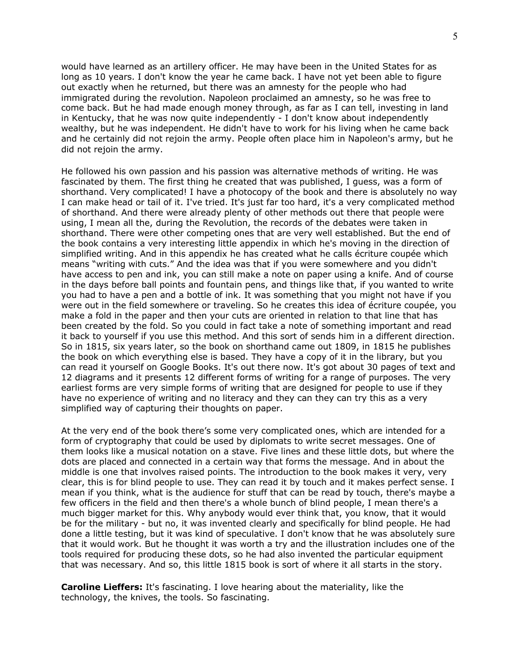would have learned as an artillery officer. He may have been in the United States for as long as 10 years. I don't know the year he came back. I have not yet been able to figure out exactly when he returned, but there was an amnesty for the people who had immigrated during the revolution. Napoleon proclaimed an amnesty, so he was free to come back. But he had made enough money through, as far as I can tell, investing in land in Kentucky, that he was now quite independently - I don't know about independently wealthy, but he was independent. He didn't have to work for his living when he came back and he certainly did not rejoin the army. People often place him in Napoleon's army, but he did not rejoin the army.

He followed his own passion and his passion was alternative methods of writing. He was fascinated by them. The first thing he created that was published, I guess, was a form of shorthand. Very complicated! I have a photocopy of the book and there is absolutely no way I can make head or tail of it. I've tried. It's just far too hard, it's a very complicated method of shorthand. And there were already plenty of other methods out there that people were using, I mean all the, during the Revolution, the records of the debates were taken in shorthand. There were other competing ones that are very well established. But the end of the book contains a very interesting little appendix in which he's moving in the direction of simplified writing. And in this appendix he has created what he calls écriture coupée which means "writing with cuts." And the idea was that if you were somewhere and you didn't have access to pen and ink, you can still make a note on paper using a knife. And of course in the days before ball points and fountain pens, and things like that, if you wanted to write you had to have a pen and a bottle of ink. It was something that you might not have if you were out in the field somewhere or traveling. So he creates this idea of écriture coupée, you make a fold in the paper and then your cuts are oriented in relation to that line that has been created by the fold. So you could in fact take a note of something important and read it back to yourself if you use this method. And this sort of sends him in a different direction. So in 1815, six years later, so the book on shorthand came out 1809, in 1815 he publishes the book on which everything else is based. They have a copy of it in the library, but you can read it yourself on Google Books. It's out there now. It's got about 30 pages of text and 12 diagrams and it presents 12 different forms of writing for a range of purposes. The very earliest forms are very simple forms of writing that are designed for people to use if they have no experience of writing and no literacy and they can they can try this as a very simplified way of capturing their thoughts on paper.

At the very end of the book there's some very complicated ones, which are intended for a form of cryptography that could be used by diplomats to write secret messages. One of them looks like a musical notation on a stave. Five lines and these little dots, but where the dots are placed and connected in a certain way that forms the message. And in about the middle is one that involves raised points. The introduction to the book makes it very, very clear, this is for blind people to use. They can read it by touch and it makes perfect sense. I mean if you think, what is the audience for stuff that can be read by touch, there's maybe a few officers in the field and then there's a whole bunch of blind people, I mean there's a much bigger market for this. Why anybody would ever think that, you know, that it would be for the military - but no, it was invented clearly and specifically for blind people. He had done a little testing, but it was kind of speculative. I don't know that he was absolutely sure that it would work. But he thought it was worth a try and the illustration includes one of the tools required for producing these dots, so he had also invented the particular equipment that was necessary. And so, this little 1815 book is sort of where it all starts in the story.

**Caroline Lieffers:** It's fascinating. I love hearing about the materiality, like the technology, the knives, the tools. So fascinating.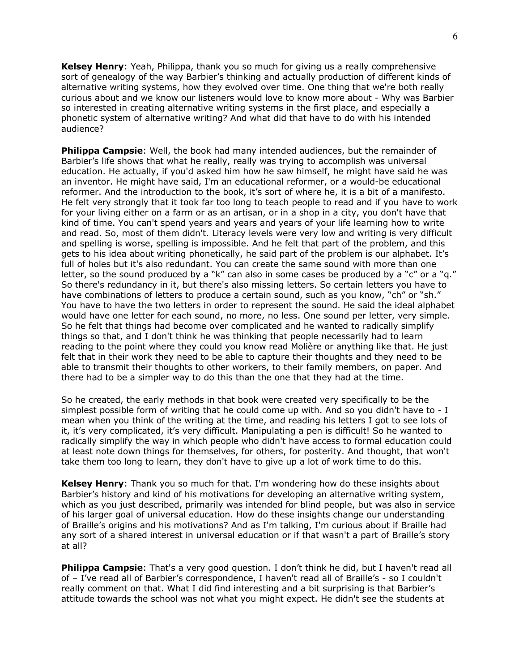**Kelsey Henry**: Yeah, Philippa, thank you so much for giving us a really comprehensive sort of genealogy of the way Barbier's thinking and actually production of different kinds of alternative writing systems, how they evolved over time. One thing that we're both really curious about and we know our listeners would love to know more about - Why was Barbier so interested in creating alternative writing systems in the first place, and especially a phonetic system of alternative writing? And what did that have to do with his intended audience?

**Philippa Campsie**: Well, the book had many intended audiences, but the remainder of Barbier's life shows that what he really, really was trying to accomplish was universal education. He actually, if you'd asked him how he saw himself, he might have said he was an inventor. He might have said, I'm an educational reformer, or a would-be educational reformer. And the introduction to the book, it's sort of where he, it is a bit of a manifesto. He felt very strongly that it took far too long to teach people to read and if you have to work for your living either on a farm or as an artisan, or in a shop in a city, you don't have that kind of time. You can't spend years and years and years of your life learning how to write and read. So, most of them didn't. Literacy levels were very low and writing is very difficult and spelling is worse, spelling is impossible. And he felt that part of the problem, and this gets to his idea about writing phonetically, he said part of the problem is our alphabet. It's full of holes but it's also redundant. You can create the same sound with more than one letter, so the sound produced by a "k" can also in some cases be produced by a "c" or a "q." So there's redundancy in it, but there's also missing letters. So certain letters you have to have combinations of letters to produce a certain sound, such as you know, "ch" or "sh." You have to have the two letters in order to represent the sound. He said the ideal alphabet would have one letter for each sound, no more, no less. One sound per letter, very simple. So he felt that things had become over complicated and he wanted to radically simplify things so that, and I don't think he was thinking that people necessarily had to learn reading to the point where they could you know read Molière or anything like that. He just felt that in their work they need to be able to capture their thoughts and they need to be able to transmit their thoughts to other workers, to their family members, on paper. And there had to be a simpler way to do this than the one that they had at the time.

So he created, the early methods in that book were created very specifically to be the simplest possible form of writing that he could come up with. And so you didn't have to - I mean when you think of the writing at the time, and reading his letters I got to see lots of it, it's very complicated, it's very difficult. Manipulating a pen is difficult! So he wanted to radically simplify the way in which people who didn't have access to formal education could at least note down things for themselves, for others, for posterity. And thought, that won't take them too long to learn, they don't have to give up a lot of work time to do this.

**Kelsey Henry**: Thank you so much for that. I'm wondering how do these insights about Barbier's history and kind of his motivations for developing an alternative writing system, which as you just described, primarily was intended for blind people, but was also in service of his larger goal of universal education. How do these insights change our understanding of Braille's origins and his motivations? And as I'm talking, I'm curious about if Braille had any sort of a shared interest in universal education or if that wasn't a part of Braille's story at all?

**Philippa Campsie**: That's a very good question. I don't think he did, but I haven't read all of – I've read all of Barbier's correspondence, I haven't read all of Braille's - so I couldn't really comment on that. What I did find interesting and a bit surprising is that Barbier's attitude towards the school was not what you might expect. He didn't see the students at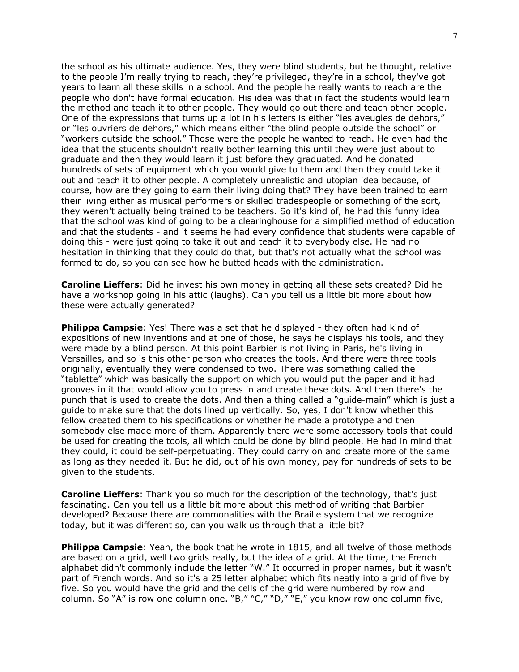the school as his ultimate audience. Yes, they were blind students, but he thought, relative to the people I'm really trying to reach, they're privileged, they're in a school, they've got years to learn all these skills in a school. And the people he really wants to reach are the people who don't have formal education. His idea was that in fact the students would learn the method and teach it to other people. They would go out there and teach other people. One of the expressions that turns up a lot in his letters is either "les aveugles de dehors," or "les ouvriers de dehors," which means either "the blind people outside the school" or "workers outside the school." Those were the people he wanted to reach. He even had the idea that the students shouldn't really bother learning this until they were just about to graduate and then they would learn it just before they graduated. And he donated hundreds of sets of equipment which you would give to them and then they could take it out and teach it to other people. A completely unrealistic and utopian idea because, of course, how are they going to earn their living doing that? They have been trained to earn their living either as musical performers or skilled tradespeople or something of the sort, they weren't actually being trained to be teachers. So it's kind of, he had this funny idea that the school was kind of going to be a clearinghouse for a simplified method of education and that the students - and it seems he had every confidence that students were capable of doing this - were just going to take it out and teach it to everybody else. He had no hesitation in thinking that they could do that, but that's not actually what the school was formed to do, so you can see how he butted heads with the administration.

**Caroline Lieffers**: Did he invest his own money in getting all these sets created? Did he have a workshop going in his attic (laughs). Can you tell us a little bit more about how these were actually generated?

**Philippa Campsie:** Yes! There was a set that he displayed - they often had kind of expositions of new inventions and at one of those, he says he displays his tools, and they were made by a blind person. At this point Barbier is not living in Paris, he's living in Versailles, and so is this other person who creates the tools. And there were three tools originally, eventually they were condensed to two. There was something called the "tablette" which was basically the support on which you would put the paper and it had grooves in it that would allow you to press in and create these dots. And then there's the punch that is used to create the dots. And then a thing called a "guide-main" which is just a guide to make sure that the dots lined up vertically. So, yes, I don't know whether this fellow created them to his specifications or whether he made a prototype and then somebody else made more of them. Apparently there were some accessory tools that could be used for creating the tools, all which could be done by blind people. He had in mind that they could, it could be self-perpetuating. They could carry on and create more of the same as long as they needed it. But he did, out of his own money, pay for hundreds of sets to be given to the students.

**Caroline Lieffers**: Thank you so much for the description of the technology, that's just fascinating. Can you tell us a little bit more about this method of writing that Barbier developed? Because there are commonalities with the Braille system that we recognize today, but it was different so, can you walk us through that a little bit?

**Philippa Campsie**: Yeah, the book that he wrote in 1815, and all twelve of those methods are based on a grid, well two grids really, but the idea of a grid. At the time, the French alphabet didn't commonly include the letter "W." It occurred in proper names, but it wasn't part of French words. And so it's a 25 letter alphabet which fits neatly into a grid of five by five. So you would have the grid and the cells of the grid were numbered by row and column. So "A" is row one column one. "B," "C," "D," "E," you know row one column five,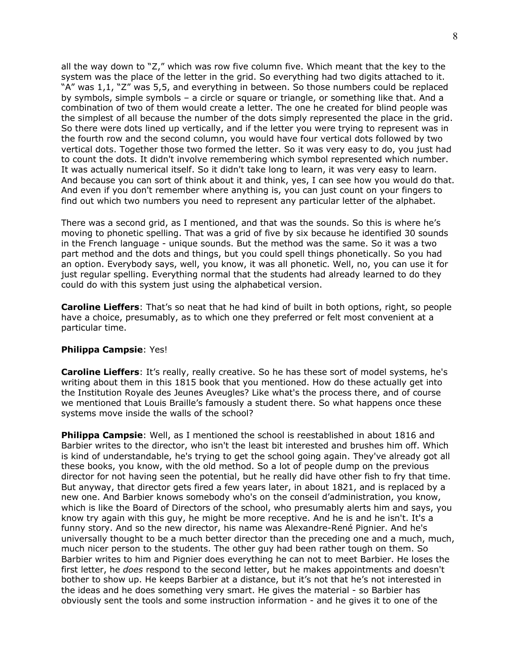all the way down to "Z," which was row five column five. Which meant that the key to the system was the place of the letter in the grid. So everything had two digits attached to it. "A" was 1,1, "Z" was 5,5, and everything in between. So those numbers could be replaced by symbols, simple symbols – a circle or square or triangle, or something like that. And a combination of two of them would create a letter. The one he created for blind people was the simplest of all because the number of the dots simply represented the place in the grid. So there were dots lined up vertically, and if the letter you were trying to represent was in the fourth row and the second column, you would have four vertical dots followed by two vertical dots. Together those two formed the letter. So it was very easy to do, you just had to count the dots. It didn't involve remembering which symbol represented which number. It was actually numerical itself. So it didn't take long to learn, it was very easy to learn. And because you can sort of think about it and think, yes, I can see how you would do that. And even if you don't remember where anything is, you can just count on your fingers to find out which two numbers you need to represent any particular letter of the alphabet.

There was a second grid, as I mentioned, and that was the sounds. So this is where he's moving to phonetic spelling. That was a grid of five by six because he identified 30 sounds in the French language - unique sounds. But the method was the same. So it was a two part method and the dots and things, but you could spell things phonetically. So you had an option. Everybody says, well, you know, it was all phonetic. Well, no, you can use it for just regular spelling. Everything normal that the students had already learned to do they could do with this system just using the alphabetical version.

**Caroline Lieffers**: That's so neat that he had kind of built in both options, right, so people have a choice, presumably, as to which one they preferred or felt most convenient at a particular time.

## **Philippa Campsie**: Yes!

**Caroline Lieffers**: It's really, really creative. So he has these sort of model systems, he's writing about them in this 1815 book that you mentioned. How do these actually get into the Institution Royale des Jeunes Aveugles? Like what's the process there, and of course we mentioned that Louis Braille's famously a student there. So what happens once these systems move inside the walls of the school?

**Philippa Campsie**: Well, as I mentioned the school is reestablished in about 1816 and Barbier writes to the director, who isn't the least bit interested and brushes him off. Which is kind of understandable, he's trying to get the school going again. They've already got all these books, you know, with the old method. So a lot of people dump on the previous director for not having seen the potential, but he really did have other fish to fry that time. But anyway, that director gets fired a few years later, in about 1821, and is replaced by a new one. And Barbier knows somebody who's on the conseil d'administration, you know, which is like the Board of Directors of the school, who presumably alerts him and says, you know try again with this guy, he might be more receptive. And he is and he isn't. It's a funny story. And so the new director, his name was Alexandre-René Pignier. And he's universally thought to be a much better director than the preceding one and a much, much, much nicer person to the students. The other guy had been rather tough on them. So Barbier writes to him and Pignier does everything he can not to meet Barbier. He loses the first letter, he *does* respond to the second letter, but he makes appointments and doesn't bother to show up. He keeps Barbier at a distance, but it's not that he's not interested in the ideas and he does something very smart. He gives the material - so Barbier has obviously sent the tools and some instruction information - and he gives it to one of the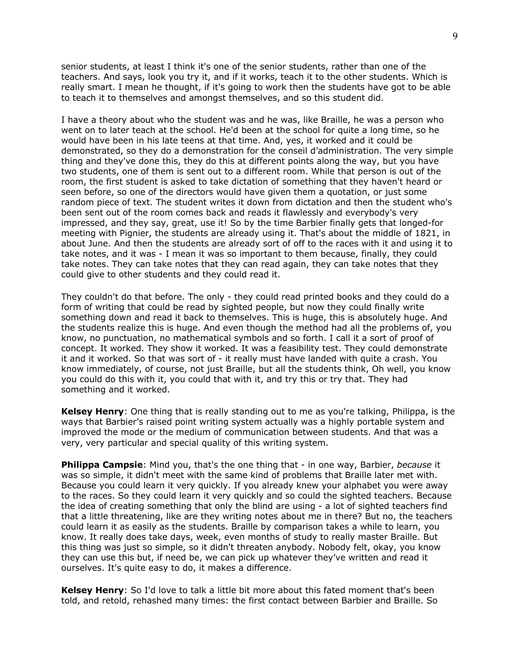senior students, at least I think it's one of the senior students, rather than one of the teachers. And says, look you try it, and if it works, teach it to the other students. Which is really smart. I mean he thought, if it's going to work then the students have got to be able to teach it to themselves and amongst themselves, and so this student did.

I have a theory about who the student was and he was, like Braille, he was a person who went on to later teach at the school. He'd been at the school for quite a long time, so he would have been in his late teens at that time. And, yes, it worked and it could be demonstrated, so they do a demonstration for the conseil d'administration. The very simple thing and they've done this, they do this at different points along the way, but you have two students, one of them is sent out to a different room. While that person is out of the room, the first student is asked to take dictation of something that they haven't heard or seen before, so one of the directors would have given them a quotation, or just some random piece of text. The student writes it down from dictation and then the student who's been sent out of the room comes back and reads it flawlessly and everybody's very impressed, and they say, great, use it! So by the time Barbier finally gets that longed-for meeting with Pignier, the students are already using it. That's about the middle of 1821, in about June. And then the students are already sort of off to the races with it and using it to take notes, and it was - I mean it was so important to them because, finally, they could take notes. They can take notes that they can read again, they can take notes that they could give to other students and they could read it.

They couldn't do that before. The only - they could read printed books and they could do a form of writing that could be read by sighted people, but now they could finally write something down and read it back to themselves. This is huge, this is absolutely huge. And the students realize this is huge. And even though the method had all the problems of, you know, no punctuation, no mathematical symbols and so forth. I call it a sort of proof of concept. It worked. They show it worked. It was a feasibility test. They could demonstrate it and it worked. So that was sort of - it really must have landed with quite a crash. You know immediately, of course, not just Braille, but all the students think, Oh well, you know you could do this with it, you could that with it, and try this or try that. They had something and it worked.

**Kelsey Henry**: One thing that is really standing out to me as you're talking, Philippa, is the ways that Barbier's raised point writing system actually was a highly portable system and improved the mode or the medium of communication between students. And that was a very, very particular and special quality of this writing system.

**Philippa Campsie**: Mind you, that's the one thing that - in one way, Barbier, *because* it was so simple, it didn't meet with the same kind of problems that Braille later met with. Because you could learn it very quickly. If you already knew your alphabet you were away to the races. So they could learn it very quickly and so could the sighted teachers. Because the idea of creating something that only the blind are using - a lot of sighted teachers find that a little threatening, like are they writing notes about me in there? But no, the teachers could learn it as easily as the students. Braille by comparison takes a while to learn, you know. It really does take days, week, even months of study to really master Braille. But this thing was just so simple, so it didn't threaten anybody. Nobody felt, okay, you know they can use this but, if need be, we can pick up whatever they've written and read it ourselves. It's quite easy to do, it makes a difference.

**Kelsey Henry**: So I'd love to talk a little bit more about this fated moment that's been told, and retold, rehashed many times: the first contact between Barbier and Braille. So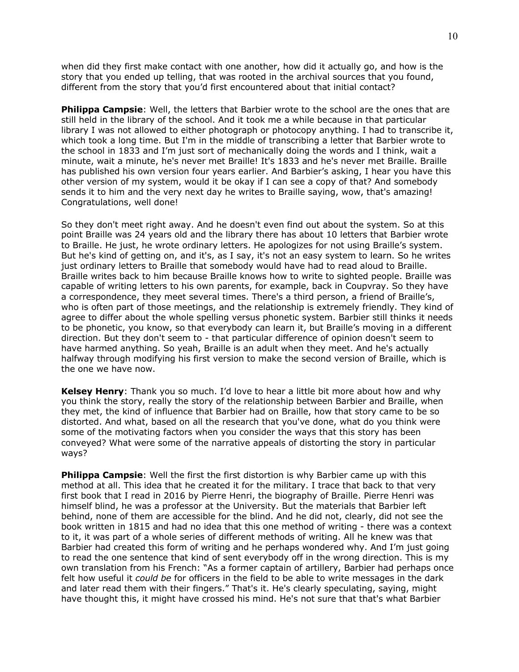when did they first make contact with one another, how did it actually go, and how is the story that you ended up telling, that was rooted in the archival sources that you found, different from the story that you'd first encountered about that initial contact?

**Philippa Campsie**: Well, the letters that Barbier wrote to the school are the ones that are still held in the library of the school. And it took me a while because in that particular library I was not allowed to either photograph or photocopy anything. I had to transcribe it, which took a long time. But I'm in the middle of transcribing a letter that Barbier wrote to the school in 1833 and I'm just sort of mechanically doing the words and I think, wait a minute, wait a minute, he's never met Braille! It's 1833 and he's never met Braille. Braille has published his own version four years earlier. And Barbier's asking, I hear you have this other version of my system, would it be okay if I can see a copy of that? And somebody sends it to him and the very next day he writes to Braille saying, wow, that's amazing! Congratulations, well done!

So they don't meet right away. And he doesn't even find out about the system. So at this point Braille was 24 years old and the library there has about 10 letters that Barbier wrote to Braille. He just, he wrote ordinary letters. He apologizes for not using Braille's system. But he's kind of getting on, and it's, as I say, it's not an easy system to learn. So he writes just ordinary letters to Braille that somebody would have had to read aloud to Braille. Braille writes back to him because Braille knows how to write to sighted people. Braille was capable of writing letters to his own parents, for example, back in Coupvray. So they have a correspondence, they meet several times. There's a third person, a friend of Braille's, who is often part of those meetings, and the relationship is extremely friendly. They kind of agree to differ about the whole spelling versus phonetic system. Barbier still thinks it needs to be phonetic, you know, so that everybody can learn it, but Braille's moving in a different direction. But they don't seem to - that particular difference of opinion doesn't seem to have harmed anything. So yeah, Braille is an adult when they meet. And he's actually halfway through modifying his first version to make the second version of Braille, which is the one we have now.

**Kelsey Henry**: Thank you so much. I'd love to hear a little bit more about how and why you think the story, really the story of the relationship between Barbier and Braille, when they met, the kind of influence that Barbier had on Braille, how that story came to be so distorted. And what, based on all the research that you've done, what do you think were some of the motivating factors when you consider the ways that this story has been conveyed? What were some of the narrative appeals of distorting the story in particular ways?

**Philippa Campsie**: Well the first the first distortion is why Barbier came up with this method at all. This idea that he created it for the military. I trace that back to that very first book that I read in 2016 by Pierre Henri, the biography of Braille. Pierre Henri was himself blind, he was a professor at the University. But the materials that Barbier left behind, none of them are accessible for the blind. And he did not, clearly, did not see the book written in 1815 and had no idea that this one method of writing - there was a context to it, it was part of a whole series of different methods of writing. All he knew was that Barbier had created this form of writing and he perhaps wondered why. And I'm just going to read the one sentence that kind of sent everybody off in the wrong direction. This is my own translation from his French: "As a former captain of artillery, Barbier had perhaps once felt how useful it *could be* for officers in the field to be able to write messages in the dark and later read them with their fingers." That's it. He's clearly speculating, saying, might have thought this, it might have crossed his mind. He's not sure that that's what Barbier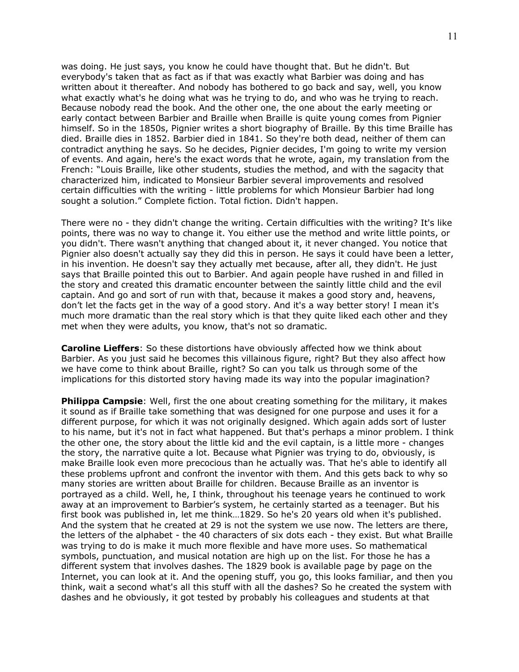was doing. He just says, you know he could have thought that. But he didn't. But everybody's taken that as fact as if that was exactly what Barbier was doing and has written about it thereafter. And nobody has bothered to go back and say, well, you know what exactly what's he doing what was he trying to do, and who was he trying to reach. Because nobody read the book. And the other one, the one about the early meeting or early contact between Barbier and Braille when Braille is quite young comes from Pignier himself. So in the 1850s, Pignier writes a short biography of Braille. By this time Braille has died. Braille dies in 1852. Barbier died in 1841. So they're both dead, neither of them can contradict anything he says. So he decides, Pignier decides, I'm going to write my version of events. And again, here's the exact words that he wrote, again, my translation from the French: "Louis Braille, like other students, studies the method, and with the sagacity that characterized him, indicated to Monsieur Barbier several improvements and resolved certain difficulties with the writing - little problems for which Monsieur Barbier had long sought a solution." Complete fiction. Total fiction. Didn't happen.

There were no - they didn't change the writing. Certain difficulties with the writing? It's like points, there was no way to change it. You either use the method and write little points, or you didn't. There wasn't anything that changed about it, it never changed. You notice that Pignier also doesn't actually say they did this in person. He says it could have been a letter, in his invention. He doesn't say they actually met because, after all, they didn't. He just says that Braille pointed this out to Barbier. And again people have rushed in and filled in the story and created this dramatic encounter between the saintly little child and the evil captain. And go and sort of run with that, because it makes a good story and, heavens, don't let the facts get in the way of a good story. And it's a way better story! I mean it's much more dramatic than the real story which is that they quite liked each other and they met when they were adults, you know, that's not so dramatic.

**Caroline Lieffers**: So these distortions have obviously affected how we think about Barbier. As you just said he becomes this villainous figure, right? But they also affect how we have come to think about Braille, right? So can you talk us through some of the implications for this distorted story having made its way into the popular imagination?

**Philippa Campsie**: Well, first the one about creating something for the military, it makes it sound as if Braille take something that was designed for one purpose and uses it for a different purpose, for which it was not originally designed. Which again adds sort of luster to his name, but it's not in fact what happened. But that's perhaps a minor problem. I think the other one, the story about the little kid and the evil captain, is a little more - changes the story, the narrative quite a lot. Because what Pignier was trying to do, obviously, is make Braille look even more precocious than he actually was. That he's able to identify all these problems upfront and confront the inventor with them. And this gets back to why so many stories are written about Braille for children. Because Braille as an inventor is portrayed as a child. Well, he, I think, throughout his teenage years he continued to work away at an improvement to Barbier's system, he certainly started as a teenager. But his first book was published in, let me think…1829. So he's 20 years old when it's published. And the system that he created at 29 is not the system we use now. The letters are there, the letters of the alphabet - the 40 characters of six dots each - they exist. But what Braille was trying to do is make it much more flexible and have more uses. So mathematical symbols, punctuation, and musical notation are high up on the list. For those he has a different system that involves dashes. The 1829 book is available page by page on the Internet, you can look at it. And the opening stuff, you go, this looks familiar, and then you think, wait a second what's all this stuff with all the dashes? So he created the system with dashes and he obviously, it got tested by probably his colleagues and students at that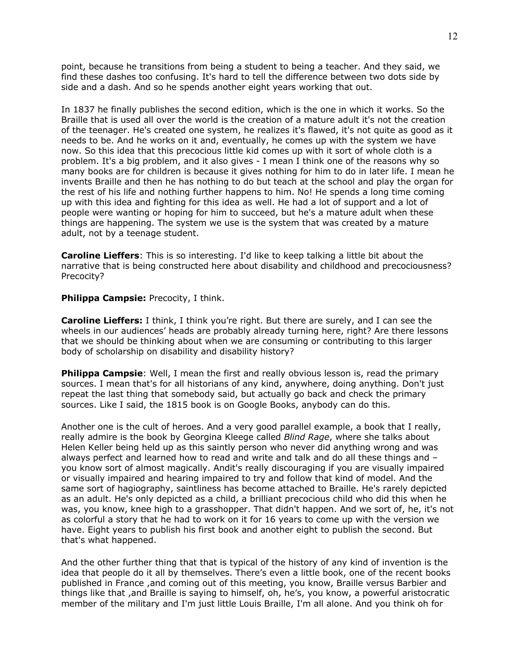point, because he transitions from being a student to being a teacher. And they said, we find these dashes too confusing. It's hard to tell the difference between two dots side by side and a dash. And so he spends another eight years working that out.

In 1837 he finally publishes the second edition, which is the one in which it works. So the Braille that is used all over the world is the creation of a mature adult it's not the creation of the teenager. He's created one system, he realizes it's flawed, it's not quite as good as it needs to be. And he works on it and, eventually, he comes up with the system we have now. So this idea that this precocious little kid comes up with it sort of whole cloth is a problem. It's a big problem, and it also gives - I mean I think one of the reasons why so many books are for children is because it gives nothing for him to do in later life. I mean he invents Braille and then he has nothing to do but teach at the school and play the organ for the rest of his life and nothing further happens to him. No! He spends a long time coming up with this idea and fighting for this idea as well. He had a lot of support and a lot of people were wanting or hoping for him to succeed, but he's a mature adult when these things are happening. The system we use is the system that was created by a mature adult, not by a teenage student.

**Caroline Lieffers**: This is so interesting. I'd like to keep talking a little bit about the narrative that is being constructed here about disability and childhood and precociousness? Precocity?

## **Philippa Campsie:** Precocity, I think.

**Caroline Lieffers:** I think, I think you're right. But there are surely, and I can see the wheels in our audiences' heads are probably already turning here, right? Are there lessons that we should be thinking about when we are consuming or contributing to this larger body of scholarship on disability and disability history?

**Philippa Campsie**: Well, I mean the first and really obvious lesson is, read the primary sources. I mean that's for all historians of any kind, anywhere, doing anything. Don't just repeat the last thing that somebody said, but actually go back and check the primary sources. Like I said, the 1815 book is on Google Books, anybody can do this.

Another one is the cult of heroes. And a very good parallel example, a book that I really, really admire is the book by Georgina Kleege called *Blind Rage*, where she talks about Helen Keller being held up as this saintly person who never did anything wrong and was always perfect and learned how to read and write and talk and do all these things and – you know sort of almost magically. Andit's really discouraging if you are visually impaired or visually impaired and hearing impaired to try and follow that kind of model. And the same sort of hagiography, saintliness has become attached to Braille. He's rarely depicted as an adult. He's only depicted as a child, a brilliant precocious child who did this when he was, you know, knee high to a grasshopper. That didn't happen. And we sort of, he, it's not as colorful a story that he had to work on it for 16 years to come up with the version we have. Eight years to publish his first book and another eight to publish the second. But that's what happened.

And the other further thing that that is typical of the history of any kind of invention is the idea that people do it all by themselves. There's even a little book, one of the recent books published in France ,and coming out of this meeting, you know, Braille versus Barbier and things like that ,and Braille is saying to himself, oh, he's, you know, a powerful aristocratic member of the military and I'm just little Louis Braille, I'm all alone. And you think oh for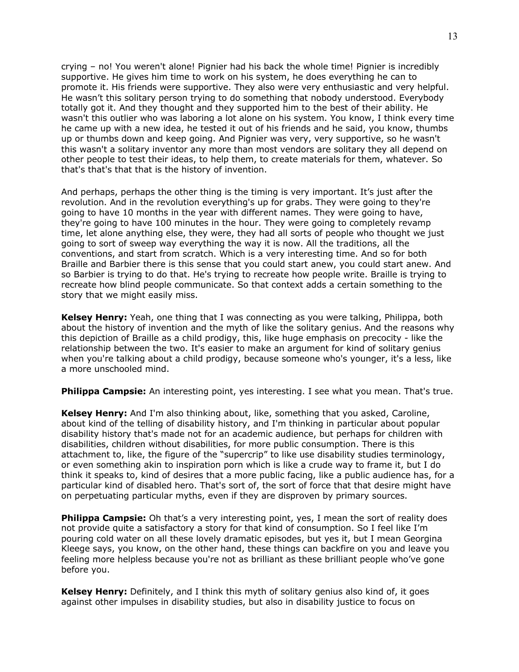crying – no! You weren't alone! Pignier had his back the whole time! Pignier is incredibly supportive. He gives him time to work on his system, he does everything he can to promote it. His friends were supportive. They also were very enthusiastic and very helpful. He wasn't this solitary person trying to do something that nobody understood. Everybody totally got it. And they thought and they supported him to the best of their ability. He wasn't this outlier who was laboring a lot alone on his system. You know, I think every time he came up with a new idea, he tested it out of his friends and he said, you know, thumbs up or thumbs down and keep going. And Pignier was very, very supportive, so he wasn't this wasn't a solitary inventor any more than most vendors are solitary they all depend on other people to test their ideas, to help them, to create materials for them, whatever. So that's that's that that is the history of invention.

And perhaps, perhaps the other thing is the timing is very important. It's just after the revolution. And in the revolution everything's up for grabs. They were going to they're going to have 10 months in the year with different names. They were going to have, they're going to have 100 minutes in the hour. They were going to completely revamp time, let alone anything else, they were, they had all sorts of people who thought we just going to sort of sweep way everything the way it is now. All the traditions, all the conventions, and start from scratch. Which is a very interesting time. And so for both Braille and Barbier there is this sense that you could start anew, you could start anew. And so Barbier is trying to do that. He's trying to recreate how people write. Braille is trying to recreate how blind people communicate. So that context adds a certain something to the story that we might easily miss.

**Kelsey Henry:** Yeah, one thing that I was connecting as you were talking, Philippa, both about the history of invention and the myth of like the solitary genius. And the reasons why this depiction of Braille as a child prodigy, this, like huge emphasis on precocity - like the relationship between the two. It's easier to make an argument for kind of solitary genius when you're talking about a child prodigy, because someone who's younger, it's a less, like a more unschooled mind.

**Philippa Campsie:** An interesting point, yes interesting. I see what you mean. That's true.

**Kelsey Henry:** And I'm also thinking about, like, something that you asked, Caroline, about kind of the telling of disability history, and I'm thinking in particular about popular disability history that's made not for an academic audience, but perhaps for children with disabilities, children without disabilities, for more public consumption. There is this attachment to, like, the figure of the "supercrip" to like use disability studies terminology, or even something akin to inspiration porn which is like a crude way to frame it, but I do think it speaks to, kind of desires that a more public facing, like a public audience has, for a particular kind of disabled hero. That's sort of, the sort of force that that desire might have on perpetuating particular myths, even if they are disproven by primary sources.

**Philippa Campsie:** Oh that's a very interesting point, yes, I mean the sort of reality does not provide quite a satisfactory a story for that kind of consumption. So I feel like I'm pouring cold water on all these lovely dramatic episodes, but yes it, but I mean Georgina Kleege says, you know, on the other hand, these things can backfire on you and leave you feeling more helpless because you're not as brilliant as these brilliant people who've gone before you.

**Kelsey Henry:** Definitely, and I think this myth of solitary genius also kind of, it goes against other impulses in disability studies, but also in disability justice to focus on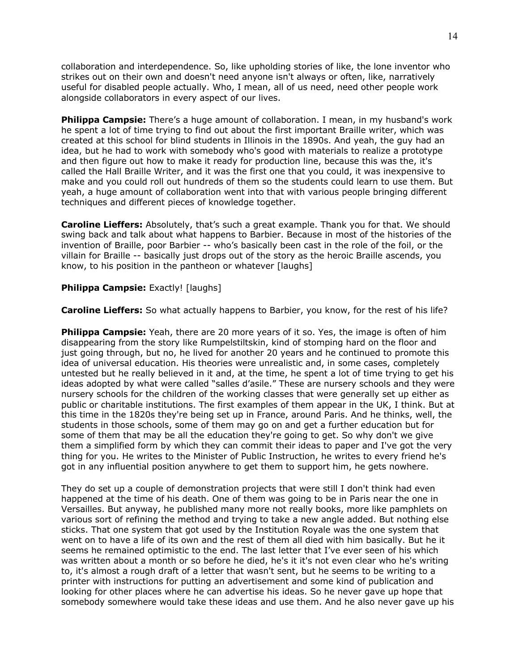collaboration and interdependence. So, like upholding stories of like, the lone inventor who strikes out on their own and doesn't need anyone isn't always or often, like, narratively useful for disabled people actually. Who, I mean, all of us need, need other people work alongside collaborators in every aspect of our lives.

**Philippa Campsie:** There's a huge amount of collaboration. I mean, in my husband's work he spent a lot of time trying to find out about the first important Braille writer, which was created at this school for blind students in Illinois in the 1890s. And yeah, the guy had an idea, but he had to work with somebody who's good with materials to realize a prototype and then figure out how to make it ready for production line, because this was the, it's called the Hall Braille Writer, and it was the first one that you could, it was inexpensive to make and you could roll out hundreds of them so the students could learn to use them. But yeah, a huge amount of collaboration went into that with various people bringing different techniques and different pieces of knowledge together.

**Caroline Lieffers:** Absolutely, that's such a great example. Thank you for that. We should swing back and talk about what happens to Barbier. Because in most of the histories of the invention of Braille, poor Barbier -- who's basically been cast in the role of the foil, or the villain for Braille -- basically just drops out of the story as the heroic Braille ascends, you know, to his position in the pantheon or whatever [laughs]

#### **Philippa Campsie:** Exactly! [laughs]

**Caroline Lieffers:** So what actually happens to Barbier, you know, for the rest of his life?

**Philippa Campsie:** Yeah, there are 20 more years of it so. Yes, the image is often of him disappearing from the story like Rumpelstiltskin, kind of stomping hard on the floor and just going through, but no, he lived for another 20 years and he continued to promote this idea of universal education. His theories were unrealistic and, in some cases, completely untested but he really believed in it and, at the time, he spent a lot of time trying to get his ideas adopted by what were called "salles d'asile." These are nursery schools and they were nursery schools for the children of the working classes that were generally set up either as public or charitable institutions. The first examples of them appear in the UK, I think. But at this time in the 1820s they're being set up in France, around Paris. And he thinks, well, the students in those schools, some of them may go on and get a further education but for some of them that may be all the education they're going to get. So why don't we give them a simplified form by which they can commit their ideas to paper and I've got the very thing for you. He writes to the Minister of Public Instruction, he writes to every friend he's got in any influential position anywhere to get them to support him, he gets nowhere.

They do set up a couple of demonstration projects that were still I don't think had even happened at the time of his death. One of them was going to be in Paris near the one in Versailles. But anyway, he published many more not really books, more like pamphlets on various sort of refining the method and trying to take a new angle added. But nothing else sticks. That one system that got used by the Institution Royale was the one system that went on to have a life of its own and the rest of them all died with him basically. But he it seems he remained optimistic to the end. The last letter that I've ever seen of his which was written about a month or so before he died, he's it it's not even clear who he's writing to, it's almost a rough draft of a letter that wasn't sent, but he seems to be writing to a printer with instructions for putting an advertisement and some kind of publication and looking for other places where he can advertise his ideas. So he never gave up hope that somebody somewhere would take these ideas and use them. And he also never gave up his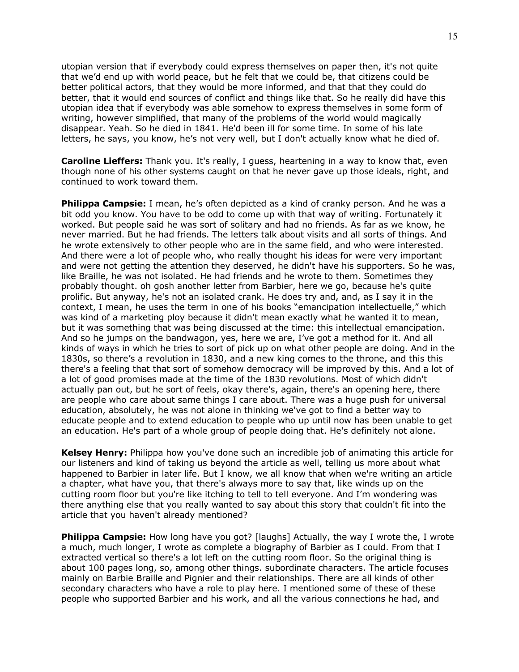utopian version that if everybody could express themselves on paper then, it's not quite that we'd end up with world peace, but he felt that we could be, that citizens could be better political actors, that they would be more informed, and that that they could do better, that it would end sources of conflict and things like that. So he really did have this utopian idea that if everybody was able somehow to express themselves in some form of writing, however simplified, that many of the problems of the world would magically disappear. Yeah. So he died in 1841. He'd been ill for some time. In some of his late letters, he says, you know, he's not very well, but I don't actually know what he died of.

**Caroline Lieffers:** Thank you. It's really, I guess, heartening in a way to know that, even though none of his other systems caught on that he never gave up those ideals, right, and continued to work toward them.

**Philippa Campsie:** I mean, he's often depicted as a kind of cranky person. And he was a bit odd you know. You have to be odd to come up with that way of writing. Fortunately it worked. But people said he was sort of solitary and had no friends. As far as we know, he never married. But he had friends. The letters talk about visits and all sorts of things. And he wrote extensively to other people who are in the same field, and who were interested. And there were a lot of people who, who really thought his ideas for were very important and were not getting the attention they deserved, he didn't have his supporters. So he was, like Braille, he was not isolated. He had friends and he wrote to them. Sometimes they probably thought. oh gosh another letter from Barbier, here we go, because he's quite prolific. But anyway, he's not an isolated crank. He does try and, and, as I say it in the context, I mean, he uses the term in one of his books "emancipation intellectuelle," which was kind of a marketing ploy because it didn't mean exactly what he wanted it to mean, but it was something that was being discussed at the time: this intellectual emancipation. And so he jumps on the bandwagon, yes, here we are, I've got a method for it. And all kinds of ways in which he tries to sort of pick up on what other people are doing. And in the 1830s, so there's a revolution in 1830, and a new king comes to the throne, and this this there's a feeling that that sort of somehow democracy will be improved by this. And a lot of a lot of good promises made at the time of the 1830 revolutions. Most of which didn't actually pan out, but he sort of feels, okay there's, again, there's an opening here, there are people who care about same things I care about. There was a huge push for universal education, absolutely, he was not alone in thinking we've got to find a better way to educate people and to extend education to people who up until now has been unable to get an education. He's part of a whole group of people doing that. He's definitely not alone.

**Kelsey Henry:** Philippa how you've done such an incredible job of animating this article for our listeners and kind of taking us beyond the article as well, telling us more about what happened to Barbier in later life. But I know, we all know that when we're writing an article a chapter, what have you, that there's always more to say that, like winds up on the cutting room floor but you're like itching to tell to tell everyone. And I'm wondering was there anything else that you really wanted to say about this story that couldn't fit into the article that you haven't already mentioned?

**Philippa Campsie:** How long have you got? [laughs] Actually, the way I wrote the, I wrote a much, much longer, I wrote as complete a biography of Barbier as I could. From that I extracted vertical so there's a lot left on the cutting room floor. So the original thing is about 100 pages long, so, among other things. subordinate characters. The article focuses mainly on Barbie Braille and Pignier and their relationships. There are all kinds of other secondary characters who have a role to play here. I mentioned some of these of these people who supported Barbier and his work, and all the various connections he had, and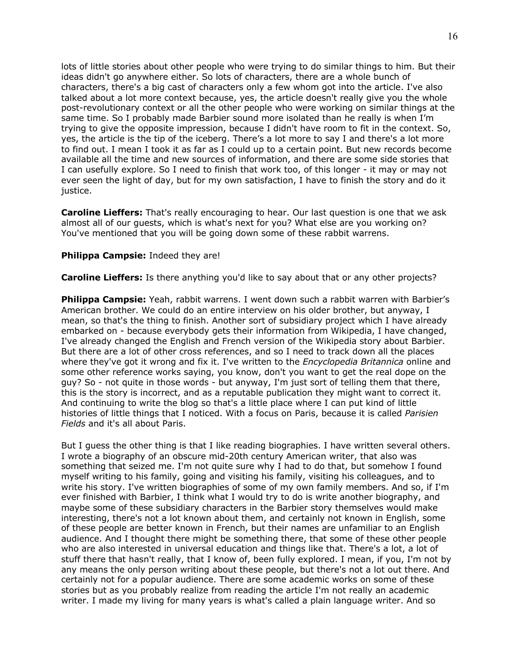lots of little stories about other people who were trying to do similar things to him. But their ideas didn't go anywhere either. So lots of characters, there are a whole bunch of characters, there's a big cast of characters only a few whom got into the article. I've also talked about a lot more context because, yes, the article doesn't really give you the whole post-revolutionary context or all the other people who were working on similar things at the same time. So I probably made Barbier sound more isolated than he really is when I'm trying to give the opposite impression, because I didn't have room to fit in the context. So, yes, the article is the tip of the iceberg. There's a lot more to say I and there's a lot more to find out. I mean I took it as far as I could up to a certain point. But new records become available all the time and new sources of information, and there are some side stories that I can usefully explore. So I need to finish that work too, of this longer - it may or may not ever seen the light of day, but for my own satisfaction, I have to finish the story and do it justice.

**Caroline Lieffers:** That's really encouraging to hear. Our last question is one that we ask almost all of our guests, which is what's next for you? What else are you working on? You've mentioned that you will be going down some of these rabbit warrens.

#### **Philippa Campsie:** Indeed they are!

**Caroline Lieffers:** Is there anything you'd like to say about that or any other projects?

**Philippa Campsie:** Yeah, rabbit warrens. I went down such a rabbit warren with Barbier's American brother. We could do an entire interview on his older brother, but anyway, I mean, so that's the thing to finish. Another sort of subsidiary project which I have already embarked on - because everybody gets their information from Wikipedia, I have changed, I've already changed the English and French version of the Wikipedia story about Barbier. But there are a lot of other cross references, and so I need to track down all the places where they've got it wrong and fix it. I've written to the *Encyclopedia Britannica* online and some other reference works saying, you know, don't you want to get the real dope on the guy? So - not quite in those words - but anyway, I'm just sort of telling them that there, this is the story is incorrect, and as a reputable publication they might want to correct it. And continuing to write the blog so that's a little place where I can put kind of little histories of little things that I noticed. With a focus on Paris, because it is called *Parisien Fields* and it's all about Paris.

But I guess the other thing is that I like reading biographies. I have written several others. I wrote a biography of an obscure mid-20th century American writer, that also was something that seized me. I'm not quite sure why I had to do that, but somehow I found myself writing to his family, going and visiting his family, visiting his colleagues, and to write his story. I've written biographies of some of my own family members. And so, if I'm ever finished with Barbier, I think what I would try to do is write another biography, and maybe some of these subsidiary characters in the Barbier story themselves would make interesting, there's not a lot known about them, and certainly not known in English, some of these people are better known in French, but their names are unfamiliar to an English audience. And I thought there might be something there, that some of these other people who are also interested in universal education and things like that. There's a lot, a lot of stuff there that hasn't really, that I know of, been fully explored. I mean, if you, I'm not by any means the only person writing about these people, but there's not a lot out there. And certainly not for a popular audience. There are some academic works on some of these stories but as you probably realize from reading the article I'm not really an academic writer. I made my living for many years is what's called a plain language writer. And so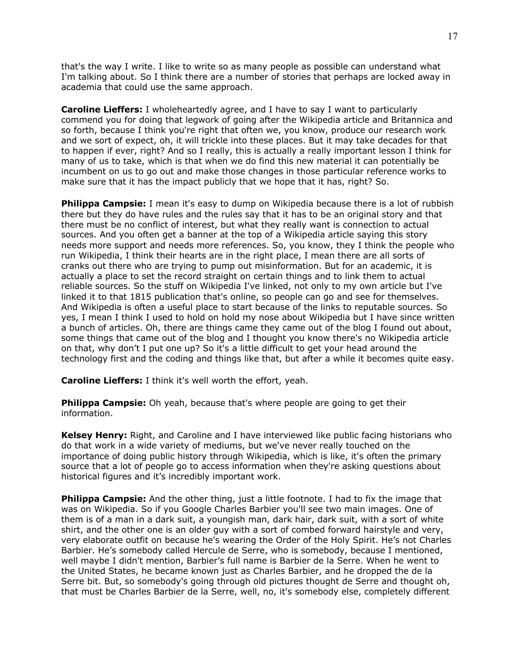that's the way I write. I like to write so as many people as possible can understand what I'm talking about. So I think there are a number of stories that perhaps are locked away in academia that could use the same approach.

**Caroline Lieffers:** I wholeheartedly agree, and I have to say I want to particularly commend you for doing that legwork of going after the Wikipedia article and Britannica and so forth, because I think you're right that often we, you know, produce our research work and we sort of expect, oh, it will trickle into these places. But it may take decades for that to happen if ever, right? And so I really, this is actually a really important lesson I think for many of us to take, which is that when we do find this new material it can potentially be incumbent on us to go out and make those changes in those particular reference works to make sure that it has the impact publicly that we hope that it has, right? So.

**Philippa Campsie:** I mean it's easy to dump on Wikipedia because there is a lot of rubbish there but they do have rules and the rules say that it has to be an original story and that there must be no conflict of interest, but what they really want is connection to actual sources. And you often get a banner at the top of a Wikipedia article saying this story needs more support and needs more references. So, you know, they I think the people who run Wikipedia, I think their hearts are in the right place, I mean there are all sorts of cranks out there who are trying to pump out misinformation. But for an academic, it is actually a place to set the record straight on certain things and to link them to actual reliable sources. So the stuff on Wikipedia I've linked, not only to my own article but I've linked it to that 1815 publication that's online, so people can go and see for themselves. And Wikipedia is often a useful place to start because of the links to reputable sources. So yes, I mean I think I used to hold on hold my nose about Wikipedia but I have since written a bunch of articles. Oh, there are things came they came out of the blog I found out about, some things that came out of the blog and I thought you know there's no Wikipedia article on that, why don't I put one up? So it's a little difficult to get your head around the technology first and the coding and things like that, but after a while it becomes quite easy.

**Caroline Lieffers:** I think it's well worth the effort, yeah.

**Philippa Campsie:** Oh yeah, because that's where people are going to get their information.

**Kelsey Henry:** Right, and Caroline and I have interviewed like public facing historians who do that work in a wide variety of mediums, but we've never really touched on the importance of doing public history through Wikipedia, which is like, it's often the primary source that a lot of people go to access information when they're asking questions about historical figures and it's incredibly important work.

**Philippa Campsie:** And the other thing, just a little footnote. I had to fix the image that was on Wikipedia. So if you Google Charles Barbier you'll see two main images. One of them is of a man in a dark suit, a youngish man, dark hair, dark suit, with a sort of white shirt, and the other one is an older guy with a sort of combed forward hairstyle and very, very elaborate outfit on because he's wearing the Order of the Holy Spirit. He's not Charles Barbier. He's somebody called Hercule de Serre, who is somebody, because I mentioned, well maybe I didn't mention, Barbier's full name is Barbier de la Serre. When he went to the United States, he became known just as Charles Barbier, and he dropped the de la Serre bit. But, so somebody's going through old pictures thought de Serre and thought oh, that must be Charles Barbier de la Serre, well, no, it's somebody else, completely different